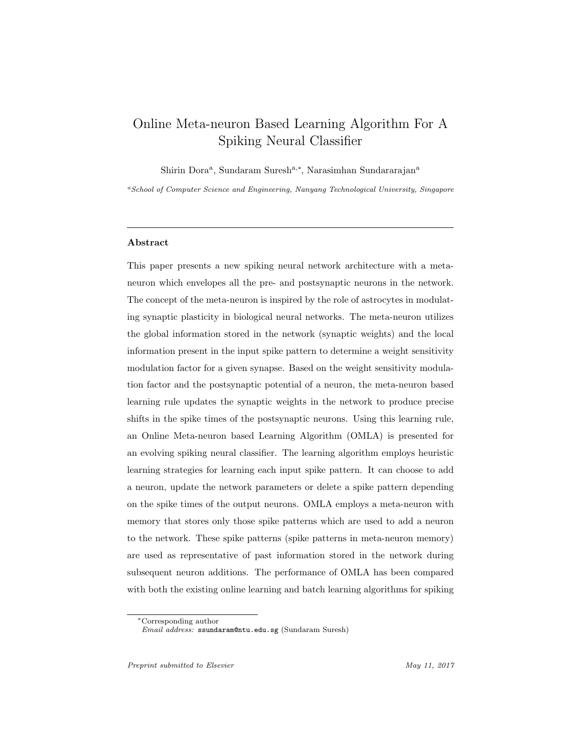# Online Meta-neuron Based Learning Algorithm For A Spiking Neural Classifier

Shirin Dora<sup>a</sup>, Sundaram Suresh<sup>a,∗</sup>, Narasimhan Sundararajan<sup>a</sup>

<sup>a</sup>School of Computer Science and Engineering, Nanyang Technological University, Singapore

### Abstract

This paper presents a new spiking neural network architecture with a metaneuron which envelopes all the pre- and postsynaptic neurons in the network. The concept of the meta-neuron is inspired by the role of astrocytes in modulating synaptic plasticity in biological neural networks. The meta-neuron utilizes the global information stored in the network (synaptic weights) and the local information present in the input spike pattern to determine a weight sensitivity modulation factor for a given synapse. Based on the weight sensitivity modulation factor and the postsynaptic potential of a neuron, the meta-neuron based learning rule updates the synaptic weights in the network to produce precise shifts in the spike times of the postsynaptic neurons. Using this learning rule, an Online Meta-neuron based Learning Algorithm (OMLA) is presented for an evolving spiking neural classifier. The learning algorithm employs heuristic learning strategies for learning each input spike pattern. It can choose to add a neuron, update the network parameters or delete a spike pattern depending on the spike times of the output neurons. OMLA employs a meta-neuron with memory that stores only those spike patterns which are used to add a neuron to the network. These spike patterns (spike patterns in meta-neuron memory) are used as representative of past information stored in the network during subsequent neuron additions. The performance of OMLA has been compared with both the existing online learning and batch learning algorithms for spiking

<sup>∗</sup>Corresponding author

Email address: ssundaram@ntu.edu.sg (Sundaram Suresh)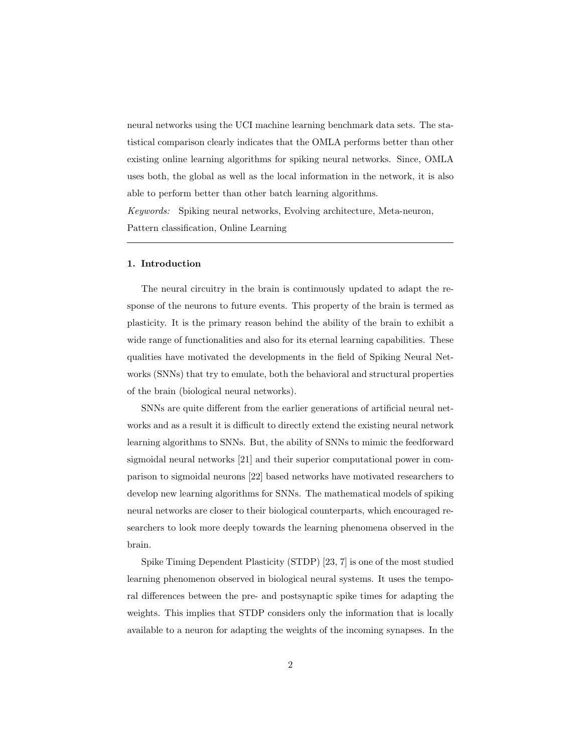neural networks using the UCI machine learning benchmark data sets. The statistical comparison clearly indicates that the OMLA performs better than other existing online learning algorithms for spiking neural networks. Since, OMLA uses both, the global as well as the local information in the network, it is also able to perform better than other batch learning algorithms.

Keywords: Spiking neural networks, Evolving architecture, Meta-neuron, Pattern classification, Online Learning

### 1. Introduction

The neural circuitry in the brain is continuously updated to adapt the response of the neurons to future events. This property of the brain is termed as plasticity. It is the primary reason behind the ability of the brain to exhibit a wide range of functionalities and also for its eternal learning capabilities. These qualities have motivated the developments in the field of Spiking Neural Networks (SNNs) that try to emulate, both the behavioral and structural properties of the brain (biological neural networks).

SNNs are quite different from the earlier generations of artificial neural networks and as a result it is difficult to directly extend the existing neural network learning algorithms to SNNs. But, the ability of SNNs to mimic the feedforward sigmoidal neural networks [21] and their superior computational power in comparison to sigmoidal neurons [22] based networks have motivated researchers to develop new learning algorithms for SNNs. The mathematical models of spiking neural networks are closer to their biological counterparts, which encouraged researchers to look more deeply towards the learning phenomena observed in the brain.

Spike Timing Dependent Plasticity (STDP) [23, 7] is one of the most studied learning phenomenon observed in biological neural systems. It uses the temporal differences between the pre- and postsynaptic spike times for adapting the weights. This implies that STDP considers only the information that is locally available to a neuron for adapting the weights of the incoming synapses. In the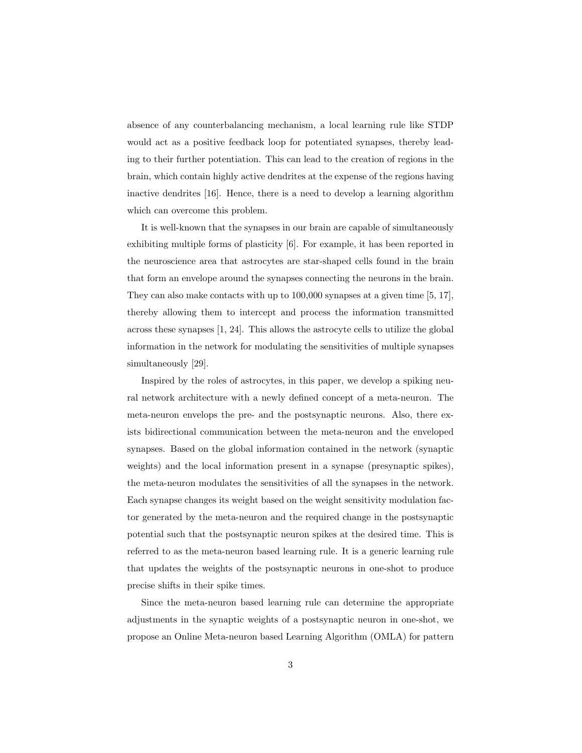absence of any counterbalancing mechanism, a local learning rule like STDP would act as a positive feedback loop for potentiated synapses, thereby leading to their further potentiation. This can lead to the creation of regions in the brain, which contain highly active dendrites at the expense of the regions having inactive dendrites [16]. Hence, there is a need to develop a learning algorithm which can overcome this problem.

It is well-known that the synapses in our brain are capable of simultaneously exhibiting multiple forms of plasticity [6]. For example, it has been reported in the neuroscience area that astrocytes are star-shaped cells found in the brain that form an envelope around the synapses connecting the neurons in the brain. They can also make contacts with up to 100,000 synapses at a given time [5, 17], thereby allowing them to intercept and process the information transmitted across these synapses [1, 24]. This allows the astrocyte cells to utilize the global information in the network for modulating the sensitivities of multiple synapses simultaneously [29].

Inspired by the roles of astrocytes, in this paper, we develop a spiking neural network architecture with a newly defined concept of a meta-neuron. The meta-neuron envelops the pre- and the postsynaptic neurons. Also, there exists bidirectional communication between the meta-neuron and the enveloped synapses. Based on the global information contained in the network (synaptic weights) and the local information present in a synapse (presynaptic spikes), the meta-neuron modulates the sensitivities of all the synapses in the network. Each synapse changes its weight based on the weight sensitivity modulation factor generated by the meta-neuron and the required change in the postsynaptic potential such that the postsynaptic neuron spikes at the desired time. This is referred to as the meta-neuron based learning rule. It is a generic learning rule that updates the weights of the postsynaptic neurons in one-shot to produce precise shifts in their spike times.

Since the meta-neuron based learning rule can determine the appropriate adjustments in the synaptic weights of a postsynaptic neuron in one-shot, we propose an Online Meta-neuron based Learning Algorithm (OMLA) for pattern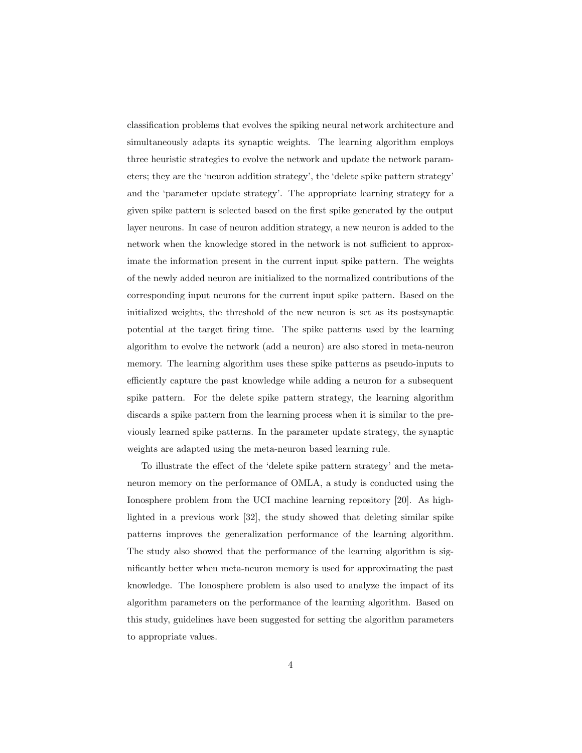classification problems that evolves the spiking neural network architecture and simultaneously adapts its synaptic weights. The learning algorithm employs three heuristic strategies to evolve the network and update the network parameters; they are the 'neuron addition strategy', the 'delete spike pattern strategy' and the 'parameter update strategy'. The appropriate learning strategy for a given spike pattern is selected based on the first spike generated by the output layer neurons. In case of neuron addition strategy, a new neuron is added to the network when the knowledge stored in the network is not sufficient to approximate the information present in the current input spike pattern. The weights of the newly added neuron are initialized to the normalized contributions of the corresponding input neurons for the current input spike pattern. Based on the initialized weights, the threshold of the new neuron is set as its postsynaptic potential at the target firing time. The spike patterns used by the learning algorithm to evolve the network (add a neuron) are also stored in meta-neuron memory. The learning algorithm uses these spike patterns as pseudo-inputs to efficiently capture the past knowledge while adding a neuron for a subsequent spike pattern. For the delete spike pattern strategy, the learning algorithm discards a spike pattern from the learning process when it is similar to the previously learned spike patterns. In the parameter update strategy, the synaptic weights are adapted using the meta-neuron based learning rule.

To illustrate the effect of the 'delete spike pattern strategy' and the metaneuron memory on the performance of OMLA, a study is conducted using the Ionosphere problem from the UCI machine learning repository [20]. As highlighted in a previous work [32], the study showed that deleting similar spike patterns improves the generalization performance of the learning algorithm. The study also showed that the performance of the learning algorithm is significantly better when meta-neuron memory is used for approximating the past knowledge. The Ionosphere problem is also used to analyze the impact of its algorithm parameters on the performance of the learning algorithm. Based on this study, guidelines have been suggested for setting the algorithm parameters to appropriate values.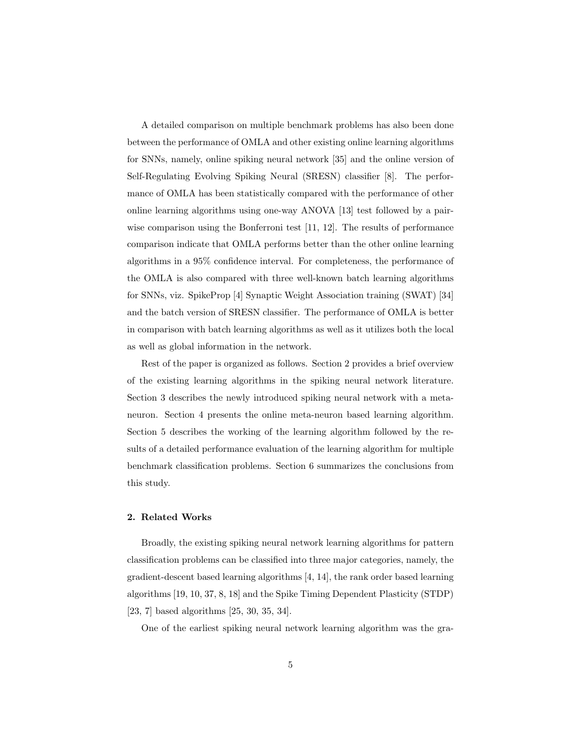A detailed comparison on multiple benchmark problems has also been done between the performance of OMLA and other existing online learning algorithms for SNNs, namely, online spiking neural network [35] and the online version of Self-Regulating Evolving Spiking Neural (SRESN) classifier [8]. The performance of OMLA has been statistically compared with the performance of other online learning algorithms using one-way ANOVA [13] test followed by a pairwise comparison using the Bonferroni test [11, 12]. The results of performance comparison indicate that OMLA performs better than the other online learning algorithms in a 95% confidence interval. For completeness, the performance of the OMLA is also compared with three well-known batch learning algorithms for SNNs, viz. SpikeProp [4] Synaptic Weight Association training (SWAT) [34] and the batch version of SRESN classifier. The performance of OMLA is better in comparison with batch learning algorithms as well as it utilizes both the local as well as global information in the network.

Rest of the paper is organized as follows. Section 2 provides a brief overview of the existing learning algorithms in the spiking neural network literature. Section 3 describes the newly introduced spiking neural network with a metaneuron. Section 4 presents the online meta-neuron based learning algorithm. Section 5 describes the working of the learning algorithm followed by the results of a detailed performance evaluation of the learning algorithm for multiple benchmark classification problems. Section 6 summarizes the conclusions from this study.

# 2. Related Works

Broadly, the existing spiking neural network learning algorithms for pattern classification problems can be classified into three major categories, namely, the gradient-descent based learning algorithms [4, 14], the rank order based learning algorithms [19, 10, 37, 8, 18] and the Spike Timing Dependent Plasticity (STDP) [23, 7] based algorithms [25, 30, 35, 34].

One of the earliest spiking neural network learning algorithm was the gra-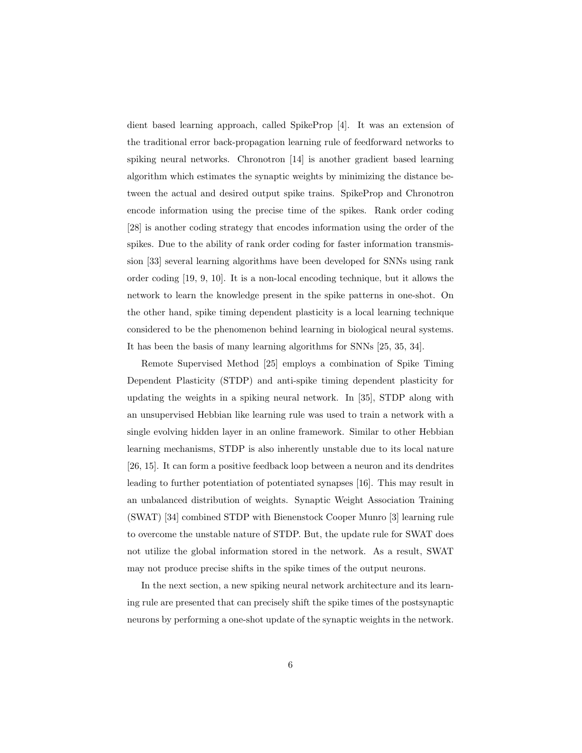dient based learning approach, called SpikeProp [4]. It was an extension of the traditional error back-propagation learning rule of feedforward networks to spiking neural networks. Chronotron [14] is another gradient based learning algorithm which estimates the synaptic weights by minimizing the distance between the actual and desired output spike trains. SpikeProp and Chronotron encode information using the precise time of the spikes. Rank order coding [28] is another coding strategy that encodes information using the order of the spikes. Due to the ability of rank order coding for faster information transmission [33] several learning algorithms have been developed for SNNs using rank order coding [19, 9, 10]. It is a non-local encoding technique, but it allows the network to learn the knowledge present in the spike patterns in one-shot. On the other hand, spike timing dependent plasticity is a local learning technique considered to be the phenomenon behind learning in biological neural systems. It has been the basis of many learning algorithms for SNNs [25, 35, 34].

Remote Supervised Method [25] employs a combination of Spike Timing Dependent Plasticity (STDP) and anti-spike timing dependent plasticity for updating the weights in a spiking neural network. In [35], STDP along with an unsupervised Hebbian like learning rule was used to train a network with a single evolving hidden layer in an online framework. Similar to other Hebbian learning mechanisms, STDP is also inherently unstable due to its local nature [26, 15]. It can form a positive feedback loop between a neuron and its dendrites leading to further potentiation of potentiated synapses [16]. This may result in an unbalanced distribution of weights. Synaptic Weight Association Training (SWAT) [34] combined STDP with Bienenstock Cooper Munro [3] learning rule to overcome the unstable nature of STDP. But, the update rule for SWAT does not utilize the global information stored in the network. As a result, SWAT may not produce precise shifts in the spike times of the output neurons.

In the next section, a new spiking neural network architecture and its learning rule are presented that can precisely shift the spike times of the postsynaptic neurons by performing a one-shot update of the synaptic weights in the network.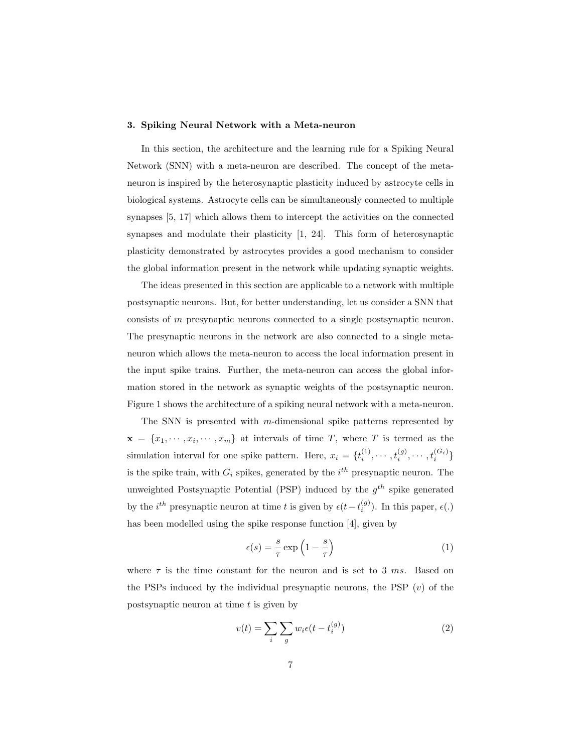## 3. Spiking Neural Network with a Meta-neuron

In this section, the architecture and the learning rule for a Spiking Neural Network (SNN) with a meta-neuron are described. The concept of the metaneuron is inspired by the heterosynaptic plasticity induced by astrocyte cells in biological systems. Astrocyte cells can be simultaneously connected to multiple synapses [5, 17] which allows them to intercept the activities on the connected synapses and modulate their plasticity [1, 24]. This form of heterosynaptic plasticity demonstrated by astrocytes provides a good mechanism to consider the global information present in the network while updating synaptic weights.

The ideas presented in this section are applicable to a network with multiple postsynaptic neurons. But, for better understanding, let us consider a SNN that consists of m presynaptic neurons connected to a single postsynaptic neuron. The presynaptic neurons in the network are also connected to a single metaneuron which allows the meta-neuron to access the local information present in the input spike trains. Further, the meta-neuron can access the global information stored in the network as synaptic weights of the postsynaptic neuron. Figure 1 shows the architecture of a spiking neural network with a meta-neuron.

The SNN is presented with m-dimensional spike patterns represented by  $\mathbf{x} = \{x_1, \dots, x_i, \dots, x_m\}$  at intervals of time T, where T is termed as the simulation interval for one spike pattern. Here,  $x_i = \{t_i^{(1)}, \cdots, t_i^{(g)}, \cdots, t_i^{(G_i)}\}$ is the spike train, with  $G_i$  spikes, generated by the  $i^{th}$  presynaptic neuron. The unweighted Postsynaptic Potential (PSP) induced by the  $g^{th}$  spike generated by the  $i^{th}$  presynaptic neuron at time t is given by  $\epsilon(t-t_i^{(g)})$ . In this paper,  $\epsilon(.)$ has been modelled using the spike response function [4], given by

$$
\epsilon(s) = \frac{s}{\tau} \exp\left(1 - \frac{s}{\tau}\right) \tag{1}
$$

where  $\tau$  is the time constant for the neuron and is set to 3 ms. Based on the PSPs induced by the individual presynaptic neurons, the PSP  $(v)$  of the postsynaptic neuron at time  $t$  is given by

$$
v(t) = \sum_{i} \sum_{g} w_i \epsilon(t - t_i^{(g)})
$$
\n(2)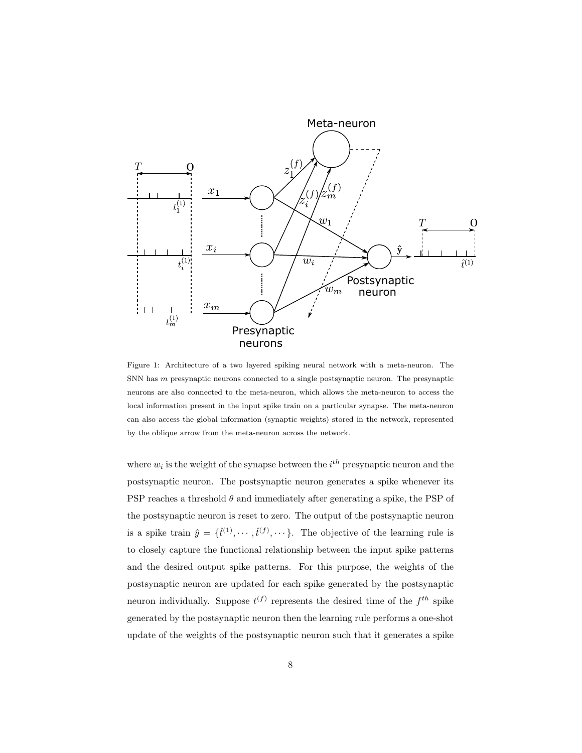

Figure 1: Architecture of a two layered spiking neural network with a meta-neuron. The SNN has m presynaptic neurons connected to a single postsynaptic neuron. The presynaptic neurons are also connected to the meta-neuron, which allows the meta-neuron to access the local information present in the input spike train on a particular synapse. The meta-neuron can also access the global information (synaptic weights) stored in the network, represented by the oblique arrow from the meta-neuron across the network.

where  $w_i$  is the weight of the synapse between the  $i^{th}$  presynaptic neuron and the postsynaptic neuron. The postsynaptic neuron generates a spike whenever its PSP reaches a threshold  $\theta$  and immediately after generating a spike, the PSP of the postsynaptic neuron is reset to zero. The output of the postsynaptic neuron is a spike train  $\hat{y} = \{\hat{t}^{(1)}, \dots, \hat{t}^{(f)}, \dots\}$ . The objective of the learning rule is to closely capture the functional relationship between the input spike patterns and the desired output spike patterns. For this purpose, the weights of the postsynaptic neuron are updated for each spike generated by the postsynaptic neuron individually. Suppose  $t^{(f)}$  represents the desired time of the  $f^{th}$  spike generated by the postsynaptic neuron then the learning rule performs a one-shot update of the weights of the postsynaptic neuron such that it generates a spike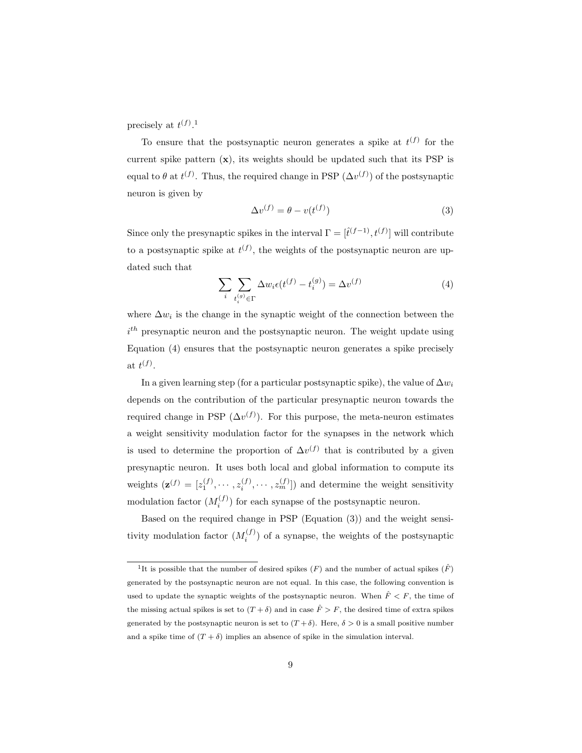precisely at  $t^{(f)}$ .<sup>1</sup>

To ensure that the postsynaptic neuron generates a spike at  $t^{(f)}$  for the current spike pattern  $(x)$ , its weights should be updated such that its PSP is equal to  $\theta$  at  $t^{(f)}$ . Thus, the required change in PSP  $(\Delta v^{(f)})$  of the postsynaptic neuron is given by

$$
\Delta v^{(f)} = \theta - v(t^{(f)})\tag{3}
$$

Since only the presynaptic spikes in the interval  $\Gamma = [\hat{t}^{(f-1)}, t^{(f)}]$  will contribute to a postsynaptic spike at  $t^{(f)}$ , the weights of the postsynaptic neuron are updated such that

$$
\sum_{i} \sum_{t_i^{(g)} \in \Gamma} \Delta w_i \epsilon(t^{(f)} - t_i^{(g)}) = \Delta v^{(f)} \tag{4}
$$

where  $\Delta w_i$  is the change in the synaptic weight of the connection between the  $i<sup>th</sup>$  presynaptic neuron and the postsynaptic neuron. The weight update using Equation (4) ensures that the postsynaptic neuron generates a spike precisely at  $t^{(f)}$ .

In a given learning step (for a particular postsynaptic spike), the value of  $\Delta w_i$ depends on the contribution of the particular presynaptic neuron towards the required change in PSP  $(\Delta v^{(f)})$ . For this purpose, the meta-neuron estimates a weight sensitivity modulation factor for the synapses in the network which is used to determine the proportion of  $\Delta v^{(f)}$  that is contributed by a given presynaptic neuron. It uses both local and global information to compute its weights  $(\mathbf{z}^{(f)} = [z_1^{(f)}, \cdots, z_i^{(f)}, \cdots, z_m^{(f)}])$  and determine the weight sensitivity modulation factor  $(M_i^{(f)})$  for each synapse of the postsynaptic neuron.

Based on the required change in PSP (Equation (3)) and the weight sensitivity modulation factor  $(M_i^{(f)})$  of a synapse, the weights of the postsynaptic

<sup>&</sup>lt;sup>1</sup>It is possible that the number of desired spikes  $(F)$  and the number of actual spikes  $(\hat{F})$ generated by the postsynaptic neuron are not equal. In this case, the following convention is used to update the synaptic weights of the postsynaptic neuron. When  $\hat{F} \leq F$ , the time of the missing actual spikes is set to  $(T + \delta)$  and in case  $\hat{F} > F$ , the desired time of extra spikes generated by the postsynaptic neuron is set to  $(T + \delta)$ . Here,  $\delta > 0$  is a small positive number and a spike time of  $(T + \delta)$  implies an absence of spike in the simulation interval.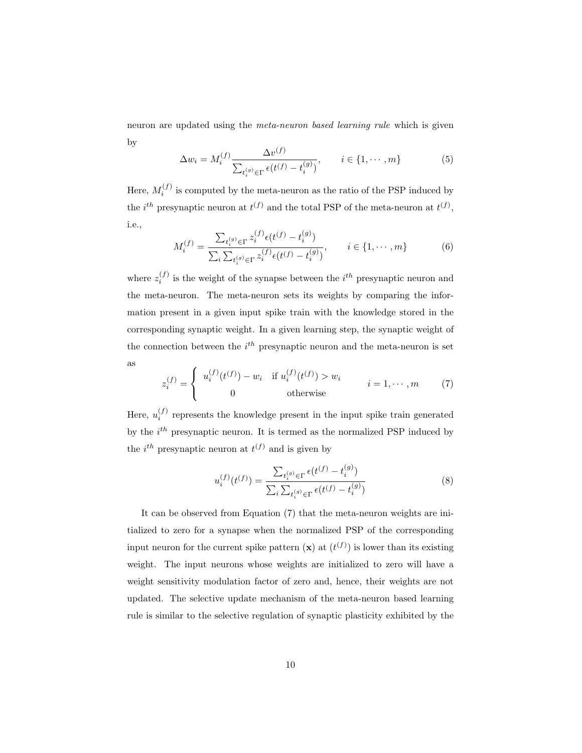neuron are updated using the meta-neuron based learning rule which is given by

$$
\Delta w_i = M_i^{(f)} \frac{\Delta v^{(f)}}{\sum_{t_i^{(g)} \in \Gamma} \epsilon(t^{(f)} - t_i^{(g)})}, \qquad i \in \{1, \cdots, m\}
$$
 (5)

Here,  $M_i^{(f)}$  is computed by the meta-neuron as the ratio of the PSP induced by the *i*<sup>th</sup> presynaptic neuron at  $t^{(f)}$  and the total PSP of the meta-neuron at  $t^{(f)}$ , i.e.,

$$
M_i^{(f)} = \frac{\sum_{t_i^{(g)} \in \Gamma} z_i^{(f)} \epsilon(t^{(f)} - t_i^{(g)})}{\sum_i \sum_{t_i^{(g)} \in \Gamma} z_i^{(f)} \epsilon(t^{(f)} - t_i^{(g)})}, \qquad i \in \{1, \cdots, m\}
$$
(6)

where  $z_i^{(f)}$  is the weight of the synapse between the  $i^{th}$  presynaptic neuron and the meta-neuron. The meta-neuron sets its weights by comparing the information present in a given input spike train with the knowledge stored in the corresponding synaptic weight. In a given learning step, the synaptic weight of the connection between the  $i^{th}$  presynaptic neuron and the meta-neuron is set as

$$
z_i^{(f)} = \begin{cases} u_i^{(f)}(t^{(f)}) - w_i & \text{if } u_i^{(f)}(t^{(f)}) > w_i \\ 0 & \text{otherwise} \end{cases} \qquad i = 1, \cdots, m \qquad (7)
$$

Here,  $u_i^{(f)}$  represents the knowledge present in the input spike train generated by the  $i^{th}$  presynaptic neuron. It is termed as the normalized PSP induced by the  $i^{th}$  presynaptic neuron at  $t^{(f)}$  and is given by

$$
u_i^{(f)}(t^{(f)}) = \frac{\sum_{t_i^{(g)} \in \Gamma} \epsilon(t^{(f)} - t_i^{(g)})}{\sum_i \sum_{t_i^{(g)} \in \Gamma} \epsilon(t^{(f)} - t_i^{(g)})}
$$
(8)

It can be observed from Equation (7) that the meta-neuron weights are initialized to zero for a synapse when the normalized PSP of the corresponding input neuron for the current spike pattern  $(\mathbf{x})$  at  $(t^{(f)})$  is lower than its existing weight. The input neurons whose weights are initialized to zero will have a weight sensitivity modulation factor of zero and, hence, their weights are not updated. The selective update mechanism of the meta-neuron based learning rule is similar to the selective regulation of synaptic plasticity exhibited by the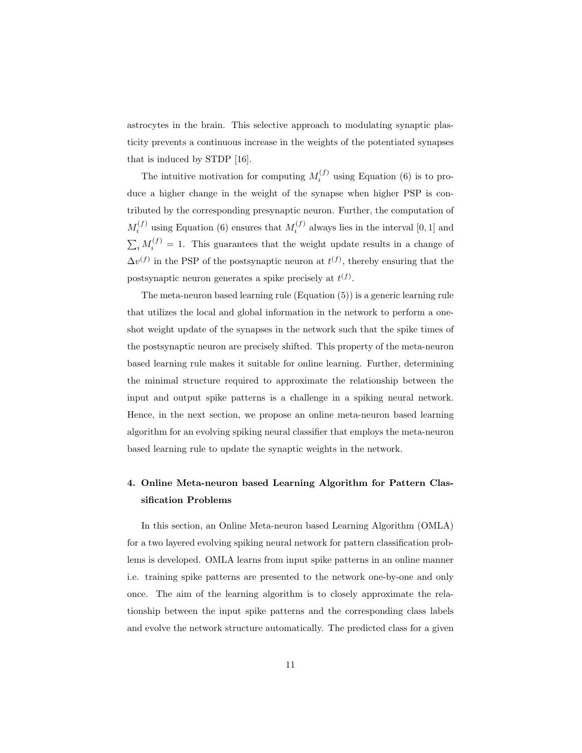astrocytes in the brain. This selective approach to modulating synaptic plasticity prevents a continuous increase in the weights of the potentiated synapses that is induced by STDP [16].

The intuitive motivation for computing  $M_i^{(f)}$  using Equation (6) is to produce a higher change in the weight of the synapse when higher PSP is contributed by the corresponding presynaptic neuron. Further, the computation of  $M_i^{(f)}$  using Equation (6) ensures that  $M_i^{(f)}$  always lies in the interval [0, 1] and  $\sum_i M_i^{(f)} = 1$ . This guarantees that the weight update results in a change of  $\Delta v^{(f)}$  in the PSP of the postsynaptic neuron at  $t^{(f)}$ , thereby ensuring that the postsynaptic neuron generates a spike precisely at  $t^{(f)}$ .

The meta-neuron based learning rule (Equation (5)) is a generic learning rule that utilizes the local and global information in the network to perform a oneshot weight update of the synapses in the network such that the spike times of the postsynaptic neuron are precisely shifted. This property of the meta-neuron based learning rule makes it suitable for online learning. Further, determining the minimal structure required to approximate the relationship between the input and output spike patterns is a challenge in a spiking neural network. Hence, in the next section, we propose an online meta-neuron based learning algorithm for an evolving spiking neural classifier that employs the meta-neuron based learning rule to update the synaptic weights in the network.

# 4. Online Meta-neuron based Learning Algorithm for Pattern Classification Problems

In this section, an Online Meta-neuron based Learning Algorithm (OMLA) for a two layered evolving spiking neural network for pattern classification problems is developed. OMLA learns from input spike patterns in an online manner i.e. training spike patterns are presented to the network one-by-one and only once. The aim of the learning algorithm is to closely approximate the relationship between the input spike patterns and the corresponding class labels and evolve the network structure automatically. The predicted class for a given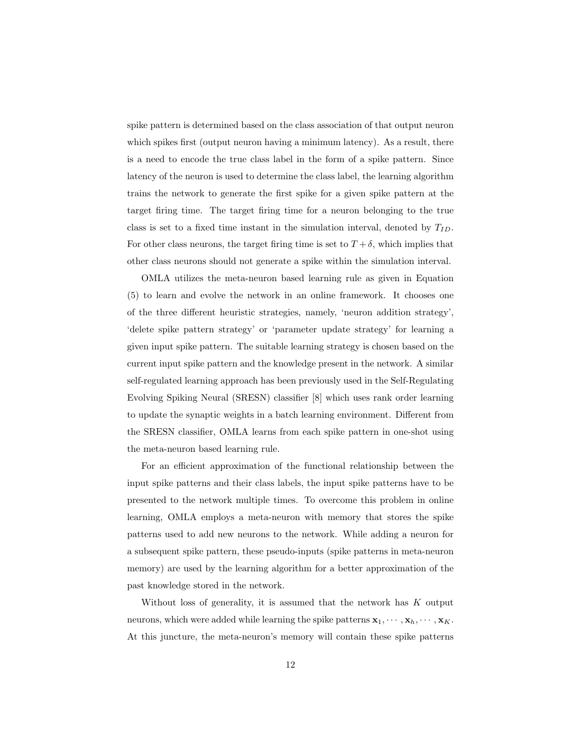spike pattern is determined based on the class association of that output neuron which spikes first (output neuron having a minimum latency). As a result, there is a need to encode the true class label in the form of a spike pattern. Since latency of the neuron is used to determine the class label, the learning algorithm trains the network to generate the first spike for a given spike pattern at the target firing time. The target firing time for a neuron belonging to the true class is set to a fixed time instant in the simulation interval, denoted by  $T_{ID}$ . For other class neurons, the target firing time is set to  $T + \delta$ , which implies that other class neurons should not generate a spike within the simulation interval.

OMLA utilizes the meta-neuron based learning rule as given in Equation (5) to learn and evolve the network in an online framework. It chooses one of the three different heuristic strategies, namely, 'neuron addition strategy', 'delete spike pattern strategy' or 'parameter update strategy' for learning a given input spike pattern. The suitable learning strategy is chosen based on the current input spike pattern and the knowledge present in the network. A similar self-regulated learning approach has been previously used in the Self-Regulating Evolving Spiking Neural (SRESN) classifier [8] which uses rank order learning to update the synaptic weights in a batch learning environment. Different from the SRESN classifier, OMLA learns from each spike pattern in one-shot using the meta-neuron based learning rule.

For an efficient approximation of the functional relationship between the input spike patterns and their class labels, the input spike patterns have to be presented to the network multiple times. To overcome this problem in online learning, OMLA employs a meta-neuron with memory that stores the spike patterns used to add new neurons to the network. While adding a neuron for a subsequent spike pattern, these pseudo-inputs (spike patterns in meta-neuron memory) are used by the learning algorithm for a better approximation of the past knowledge stored in the network.

Without loss of generality, it is assumed that the network has  $K$  output neurons, which were added while learning the spike patterns  $x_1, \dots, x_k, \dots, x_K$ . At this juncture, the meta-neuron's memory will contain these spike patterns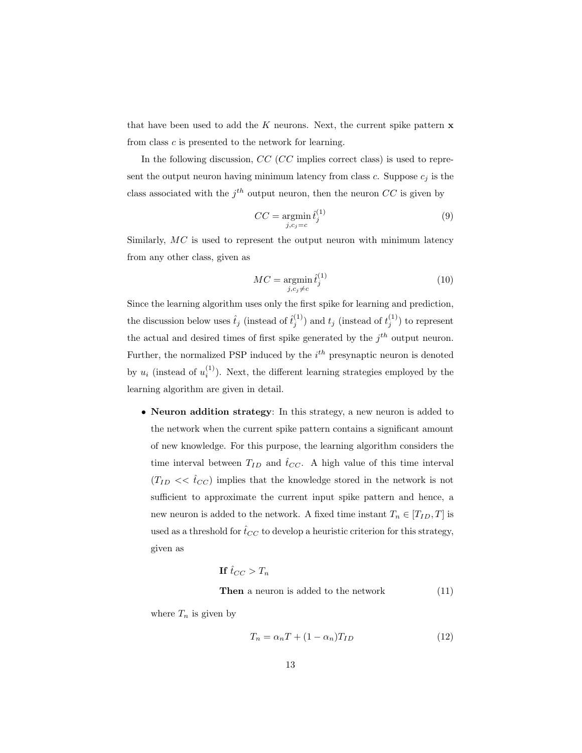that have been used to add the K neurons. Next, the current spike pattern  $x$ from class c is presented to the network for learning.

In the following discussion, CC (CC implies correct class) is used to represent the output neuron having minimum latency from class c. Suppose  $c_i$  is the class associated with the  $j<sup>th</sup>$  output neuron, then the neuron  $CC$  is given by

$$
CC = \underset{j, c_j = c}{\operatorname{argmin}} \hat{t}_j^{(1)} \tag{9}
$$

Similarly, MC is used to represent the output neuron with minimum latency from any other class, given as

$$
MC = \underset{j, c_j \neq c}{\text{argmin}} \hat{t}_j^{(1)} \tag{10}
$$

Since the learning algorithm uses only the first spike for learning and prediction, the discussion below uses  $\hat{t}_j$  (instead of  $\hat{t}_j^{(1)}$ ) and  $t_j$  (instead of  $t_j^{(1)}$ ) to represent the actual and desired times of first spike generated by the  $j<sup>th</sup>$  output neuron. Further, the normalized PSP induced by the  $i<sup>th</sup>$  presynaptic neuron is denoted by  $u_i$  (instead of  $u_i^{(1)}$ ). Next, the different learning strategies employed by the learning algorithm are given in detail.

• Neuron addition strategy: In this strategy, a new neuron is added to the network when the current spike pattern contains a significant amount of new knowledge. For this purpose, the learning algorithm considers the time interval between  $T_{ID}$  and  $\hat{t}_{CC}$ . A high value of this time interval  $(T_{ID} << \hat{t}_{CC})$  implies that the knowledge stored in the network is not sufficient to approximate the current input spike pattern and hence, a new neuron is added to the network. A fixed time instant  $T_n \in [T_{ID}, T]$  is used as a threshold for  $\hat{t}_{CC}$  to develop a heuristic criterion for this strategy, given as

**If** 
$$
\hat{t}_{CC} > T_n
$$
  
**Then** a neuron is added to the network\t(11)

where  $T_n$  is given by

$$
T_n = \alpha_n T + (1 - \alpha_n) T_{ID} \tag{12}
$$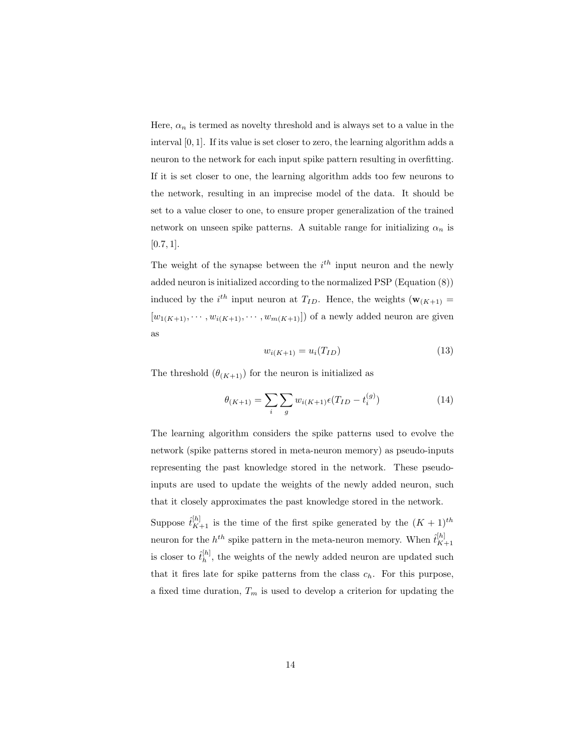Here,  $\alpha_n$  is termed as novelty threshold and is always set to a value in the interval [0, 1]. If its value is set closer to zero, the learning algorithm adds a neuron to the network for each input spike pattern resulting in overfitting. If it is set closer to one, the learning algorithm adds too few neurons to the network, resulting in an imprecise model of the data. It should be set to a value closer to one, to ensure proper generalization of the trained network on unseen spike patterns. A suitable range for initializing  $\alpha_n$  is  $[0.7, 1]$ .

The weight of the synapse between the  $i^{th}$  input neuron and the newly added neuron is initialized according to the normalized PSP (Equation (8)) induced by the *i*<sup>th</sup> input neuron at  $T_{ID}$ . Hence, the weights  $(\mathbf{w}_{(K+1)} =$  $[w_{1(K+1)}, \cdots, w_{i(K+1)}, \cdots, w_{m(K+1)}])$  of a newly added neuron are given as

$$
w_{i(K+1)} = u_i(T_{ID})
$$
\n(13)

The threshold  $(\theta_{(K+1)})$  for the neuron is initialized as

$$
\theta_{(K+1)} = \sum_{i} \sum_{g} w_{i(K+1)} \epsilon(T_{ID} - t_i^{(g)}) \tag{14}
$$

The learning algorithm considers the spike patterns used to evolve the network (spike patterns stored in meta-neuron memory) as pseudo-inputs representing the past knowledge stored in the network. These pseudoinputs are used to update the weights of the newly added neuron, such that it closely approximates the past knowledge stored in the network.

Suppose  $\hat{t}_{K+1}^{[h]}$  is the time of the first spike generated by the  $(K+1)^{th}$ neuron for the  $h^{th}$  spike pattern in the meta-neuron memory. When  $\hat{t}_{K}^{[h]}$  $K+1$ is closer to  $\hat{t}_h^{[h]}$  $\binom{[n]}{h}$ , the weights of the newly added neuron are updated such that it fires late for spike patterns from the class  $c_h$ . For this purpose, a fixed time duration,  $T_m$  is used to develop a criterion for updating the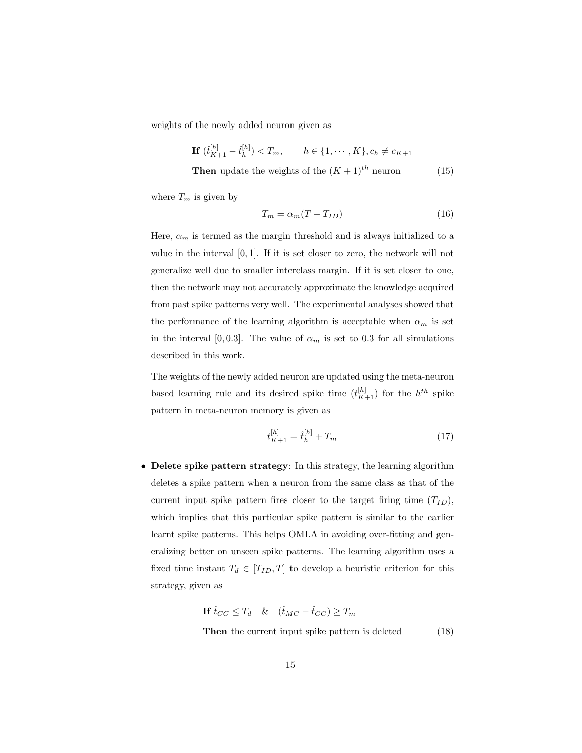weights of the newly added neuron given as

$$
\mathbf{If} \ (\hat{t}_{K+1}^{[h]} - \hat{t}_h^{[h]}) < T_m, \qquad h \in \{1, \cdots, K\}, c_h \neq c_{K+1}
$$

**Then** update the weights of the  $(K + 1)^{th}$  neuron (15)

where  $T_m$  is given by

$$
T_m = \alpha_m (T - T_{ID}) \tag{16}
$$

Here,  $\alpha_m$  is termed as the margin threshold and is always initialized to a value in the interval  $[0, 1]$ . If it is set closer to zero, the network will not generalize well due to smaller interclass margin. If it is set closer to one, then the network may not accurately approximate the knowledge acquired from past spike patterns very well. The experimental analyses showed that the performance of the learning algorithm is acceptable when  $\alpha_m$  is set in the interval [0, 0.3]. The value of  $\alpha_m$  is set to 0.3 for all simulations described in this work.

The weights of the newly added neuron are updated using the meta-neuron based learning rule and its desired spike time  $(t_{K+1}^{[h]})$  for the  $h^{th}$  spike pattern in meta-neuron memory is given as

$$
t_{K+1}^{[h]} = \hat{t}_h^{[h]} + T_m \tag{17}
$$

• Delete spike pattern strategy: In this strategy, the learning algorithm deletes a spike pattern when a neuron from the same class as that of the current input spike pattern fires closer to the target firing time  $(T_{ID})$ , which implies that this particular spike pattern is similar to the earlier learnt spike patterns. This helps OMLA in avoiding over-fitting and generalizing better on unseen spike patterns. The learning algorithm uses a fixed time instant  $T_d \in [T_{ID}, T]$  to develop a heuristic criterion for this strategy, given as

**If** 
$$
\hat{t}_{CC} \leq T_d
$$
 &  $(\hat{t}_{MC} - \hat{t}_{CC}) \geq T_m$ 

Then the current input spike pattern is deleted  $(18)$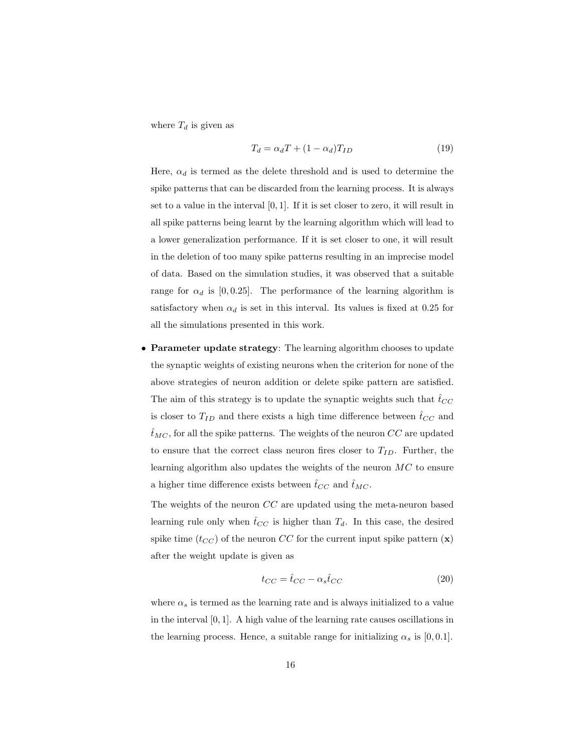where  $T_d$  is given as

$$
T_d = \alpha_d T + (1 - \alpha_d) T_{ID}
$$
\n(19)

Here,  $\alpha_d$  is termed as the delete threshold and is used to determine the spike patterns that can be discarded from the learning process. It is always set to a value in the interval [0, 1]. If it is set closer to zero, it will result in all spike patterns being learnt by the learning algorithm which will lead to a lower generalization performance. If it is set closer to one, it will result in the deletion of too many spike patterns resulting in an imprecise model of data. Based on the simulation studies, it was observed that a suitable range for  $\alpha_d$  is [0,0.25]. The performance of the learning algorithm is satisfactory when  $\alpha_d$  is set in this interval. Its values is fixed at 0.25 for all the simulations presented in this work.

• Parameter update strategy: The learning algorithm chooses to update the synaptic weights of existing neurons when the criterion for none of the above strategies of neuron addition or delete spike pattern are satisfied. The aim of this strategy is to update the synaptic weights such that  $\hat{t}_{CC}$ is closer to  $T_{ID}$  and there exists a high time difference between  $\hat{t}_{CC}$  and  $\hat{t}_{MC}$ , for all the spike patterns. The weights of the neuron  $CC$  are updated to ensure that the correct class neuron fires closer to  $T_{ID}$ . Further, the learning algorithm also updates the weights of the neuron  $MC$  to ensure a higher time difference exists between  $\hat{t}_{CC}$  and  $\hat{t}_{MC}$ .

The weights of the neuron CC are updated using the meta-neuron based learning rule only when  $\hat{t}_{CC}$  is higher than  $T_d$ . In this case, the desired spike time  $(t_{CC})$  of the neuron CC for the current input spike pattern  $(\mathbf{x})$ after the weight update is given as

$$
t_{CC} = \hat{t}_{CC} - \alpha_s \hat{t}_{CC} \tag{20}
$$

where  $\alpha_s$  is termed as the learning rate and is always initialized to a value in the interval  $[0, 1]$ . A high value of the learning rate causes oscillations in the learning process. Hence, a suitable range for initializing  $\alpha_s$  is [0, 0.1].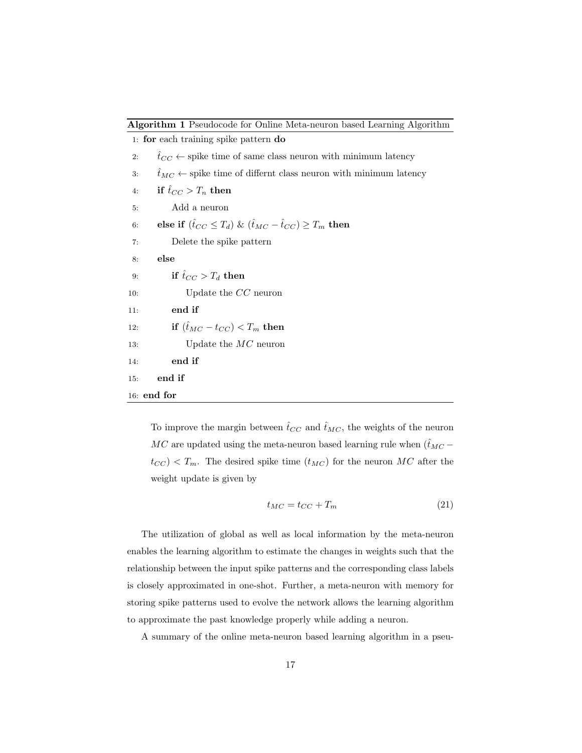|  | Algorithm 1 Pseudocode for Online Meta-neuron based Learning Algorithm |  |
|--|------------------------------------------------------------------------|--|
|  |                                                                        |  |

1: for each training spike pattern do 2:  $\hat{t}_{CC} \leftarrow$  spike time of same class neuron with minimum latency 3:  $\hat{t}_{MC} \leftarrow$  spike time of differnt class neuron with minimum latency 4: if  $\hat{t}_{CC} > T_n$  then 5: Add a neuron 6: else if  $(\hat{t}_{CC} \leq T_d) \& (\hat{t}_{MC} - \hat{t}_{CC}) \geq T_m$  then 7: Delete the spike pattern 8: else 9: if  $\hat{t}_{CC} > T_d$  then 10: Update the CC neuron 11: end if 12: if  $(\hat{t}_{MC} - t_{CC}) < T_m$  then 13: Update the *MC* neuron 14: end if 15: end if 16: end for

To improve the margin between  $\hat{t}_{CC}$  and  $\hat{t}_{MC}$ , the weights of the neuron MC are updated using the meta-neuron based learning rule when  $(\hat{t}_{MC}$  $t_{CC}$  <  $T_m$ . The desired spike time  $(t_{MC})$  for the neuron MC after the weight update is given by

$$
t_{MC} = t_{CC} + T_m \tag{21}
$$

The utilization of global as well as local information by the meta-neuron enables the learning algorithm to estimate the changes in weights such that the relationship between the input spike patterns and the corresponding class labels is closely approximated in one-shot. Further, a meta-neuron with memory for storing spike patterns used to evolve the network allows the learning algorithm to approximate the past knowledge properly while adding a neuron.

A summary of the online meta-neuron based learning algorithm in a pseu-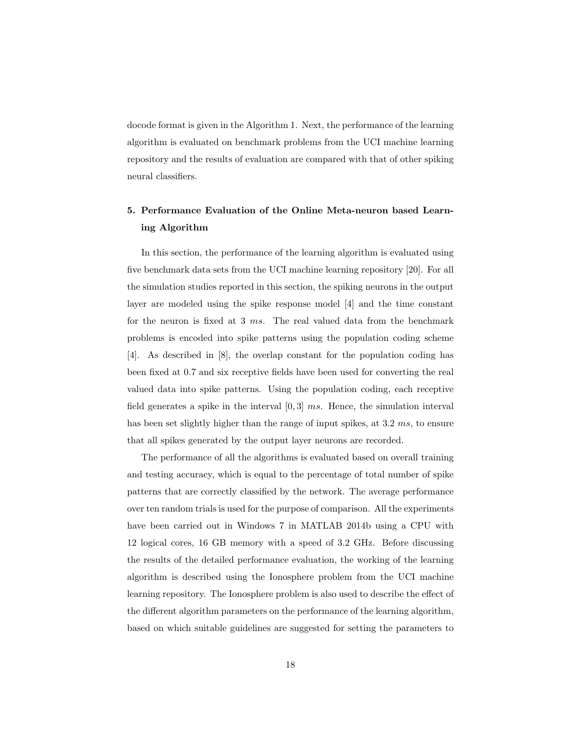docode format is given in the Algorithm 1. Next, the performance of the learning algorithm is evaluated on benchmark problems from the UCI machine learning repository and the results of evaluation are compared with that of other spiking neural classifiers.

# 5. Performance Evaluation of the Online Meta-neuron based Learning Algorithm

In this section, the performance of the learning algorithm is evaluated using five benchmark data sets from the UCI machine learning repository [20]. For all the simulation studies reported in this section, the spiking neurons in the output layer are modeled using the spike response model [4] and the time constant for the neuron is fixed at 3 ms. The real valued data from the benchmark problems is encoded into spike patterns using the population coding scheme [4]. As described in [8], the overlap constant for the population coding has been fixed at 0.7 and six receptive fields have been used for converting the real valued data into spike patterns. Using the population coding, each receptive field generates a spike in the interval  $[0,3]$  ms. Hence, the simulation interval has been set slightly higher than the range of input spikes, at 3.2 ms, to ensure that all spikes generated by the output layer neurons are recorded.

The performance of all the algorithms is evaluated based on overall training and testing accuracy, which is equal to the percentage of total number of spike patterns that are correctly classified by the network. The average performance over ten random trials is used for the purpose of comparison. All the experiments have been carried out in Windows 7 in MATLAB 2014b using a CPU with 12 logical cores, 16 GB memory with a speed of 3.2 GHz. Before discussing the results of the detailed performance evaluation, the working of the learning algorithm is described using the Ionosphere problem from the UCI machine learning repository. The Ionosphere problem is also used to describe the effect of the different algorithm parameters on the performance of the learning algorithm, based on which suitable guidelines are suggested for setting the parameters to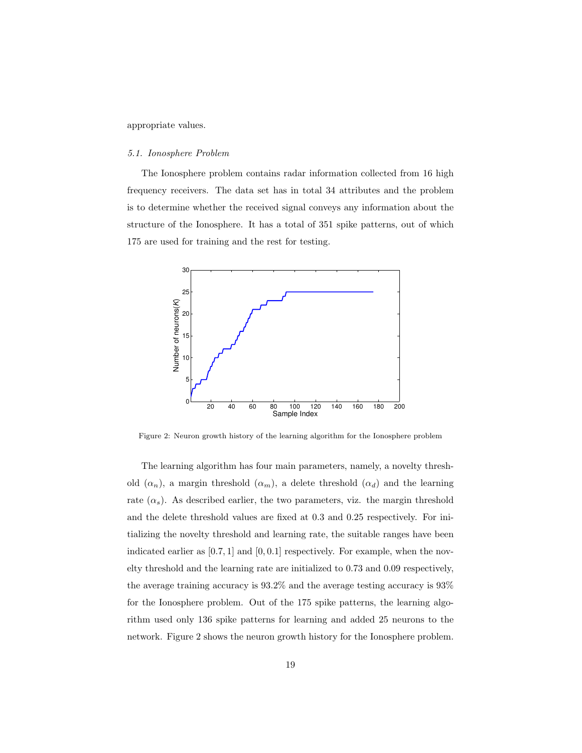appropriate values.

#### 5.1. Ionosphere Problem

The Ionosphere problem contains radar information collected from 16 high frequency receivers. The data set has in total 34 attributes and the problem is to determine whether the received signal conveys any information about the structure of the Ionosphere. It has a total of 351 spike patterns, out of which 175 are used for training and the rest for testing.



Figure 2: Neuron growth history of the learning algorithm for the Ionosphere problem

The learning algorithm has four main parameters, namely, a novelty threshold  $(\alpha_n)$ , a margin threshold  $(\alpha_m)$ , a delete threshold  $(\alpha_d)$  and the learning rate  $(\alpha_s)$ . As described earlier, the two parameters, viz. the margin threshold and the delete threshold values are fixed at 0.3 and 0.25 respectively. For initializing the novelty threshold and learning rate, the suitable ranges have been indicated earlier as  $[0.7, 1]$  and  $[0, 0.1]$  respectively. For example, when the novelty threshold and the learning rate are initialized to 0.73 and 0.09 respectively, the average training accuracy is 93.2% and the average testing accuracy is 93% for the Ionosphere problem. Out of the 175 spike patterns, the learning algorithm used only 136 spike patterns for learning and added 25 neurons to the network. Figure 2 shows the neuron growth history for the Ionosphere problem.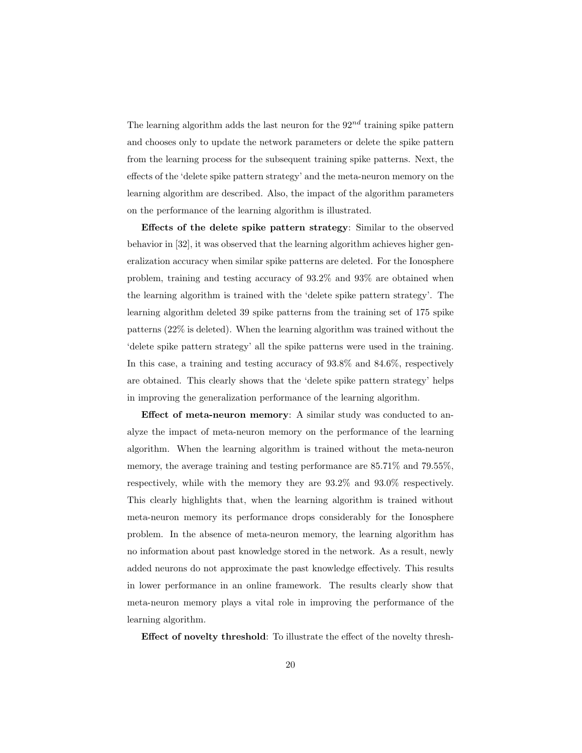The learning algorithm adds the last neuron for the  $92^{nd}$  training spike pattern and chooses only to update the network parameters or delete the spike pattern from the learning process for the subsequent training spike patterns. Next, the effects of the 'delete spike pattern strategy' and the meta-neuron memory on the learning algorithm are described. Also, the impact of the algorithm parameters on the performance of the learning algorithm is illustrated.

Effects of the delete spike pattern strategy: Similar to the observed behavior in [32], it was observed that the learning algorithm achieves higher generalization accuracy when similar spike patterns are deleted. For the Ionosphere problem, training and testing accuracy of 93.2% and 93% are obtained when the learning algorithm is trained with the 'delete spike pattern strategy'. The learning algorithm deleted 39 spike patterns from the training set of 175 spike patterns (22% is deleted). When the learning algorithm was trained without the 'delete spike pattern strategy' all the spike patterns were used in the training. In this case, a training and testing accuracy of 93.8% and 84.6%, respectively are obtained. This clearly shows that the 'delete spike pattern strategy' helps in improving the generalization performance of the learning algorithm.

Effect of meta-neuron memory: A similar study was conducted to analyze the impact of meta-neuron memory on the performance of the learning algorithm. When the learning algorithm is trained without the meta-neuron memory, the average training and testing performance are 85.71% and 79.55%, respectively, while with the memory they are 93.2% and 93.0% respectively. This clearly highlights that, when the learning algorithm is trained without meta-neuron memory its performance drops considerably for the Ionosphere problem. In the absence of meta-neuron memory, the learning algorithm has no information about past knowledge stored in the network. As a result, newly added neurons do not approximate the past knowledge effectively. This results in lower performance in an online framework. The results clearly show that meta-neuron memory plays a vital role in improving the performance of the learning algorithm.

Effect of novelty threshold: To illustrate the effect of the novelty thresh-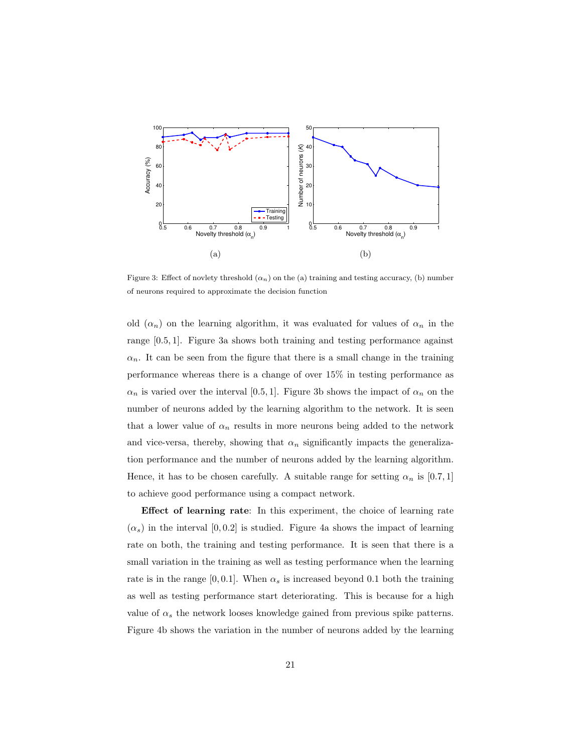

Figure 3: Effect of novlety threshold  $(\alpha_n)$  on the (a) training and testing accuracy, (b) number of neurons required to approximate the decision function

old  $(\alpha_n)$  on the learning algorithm, it was evaluated for values of  $\alpha_n$  in the range [0.5, 1]. Figure 3a shows both training and testing performance against  $\alpha_n$ . It can be seen from the figure that there is a small change in the training performance whereas there is a change of over 15% in testing performance as  $\alpha_n$  is varied over the interval [0.5, 1]. Figure 3b shows the impact of  $\alpha_n$  on the number of neurons added by the learning algorithm to the network. It is seen that a lower value of  $\alpha_n$  results in more neurons being added to the network and vice-versa, thereby, showing that  $\alpha_n$  significantly impacts the generalization performance and the number of neurons added by the learning algorithm. Hence, it has to be chosen carefully. A suitable range for setting  $\alpha_n$  is [0.7, 1] to achieve good performance using a compact network.

Effect of learning rate: In this experiment, the choice of learning rate  $(\alpha_s)$  in the interval [0,0.2] is studied. Figure 4a shows the impact of learning rate on both, the training and testing performance. It is seen that there is a small variation in the training as well as testing performance when the learning rate is in the range [0, 0.1]. When  $\alpha_s$  is increased beyond 0.1 both the training as well as testing performance start deteriorating. This is because for a high value of  $\alpha_s$  the network looses knowledge gained from previous spike patterns. Figure 4b shows the variation in the number of neurons added by the learning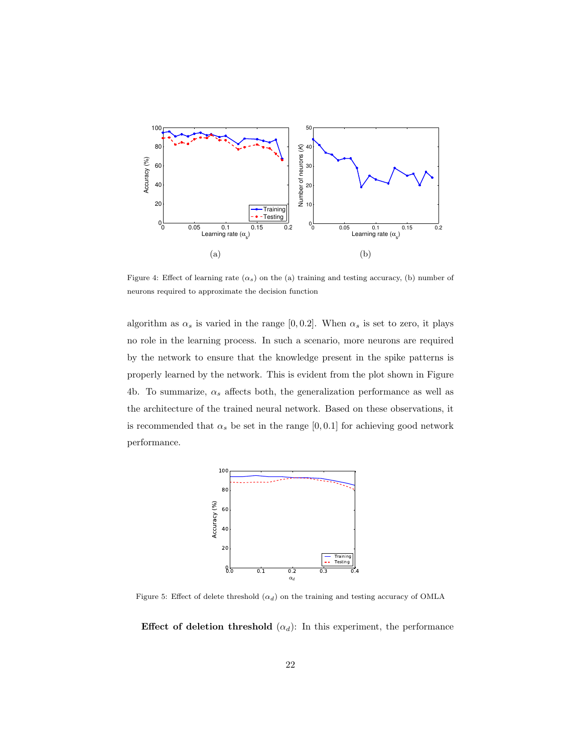

Figure 4: Effect of learning rate  $(\alpha_s)$  on the (a) training and testing accuracy, (b) number of neurons required to approximate the decision function

algorithm as  $\alpha_s$  is varied in the range [0, 0.2]. When  $\alpha_s$  is set to zero, it plays no role in the learning process. In such a scenario, more neurons are required by the network to ensure that the knowledge present in the spike patterns is properly learned by the network. This is evident from the plot shown in Figure 4b. To summarize,  $\alpha_s$  affects both, the generalization performance as well as the architecture of the trained neural network. Based on these observations, it is recommended that  $\alpha_s$  be set in the range [0,0.1] for achieving good network performance.



Figure 5: Effect of delete threshold  $(\alpha_d)$  on the training and testing accuracy of OMLA

Effect of deletion threshold  $(\alpha_d)$ : In this experiment, the performance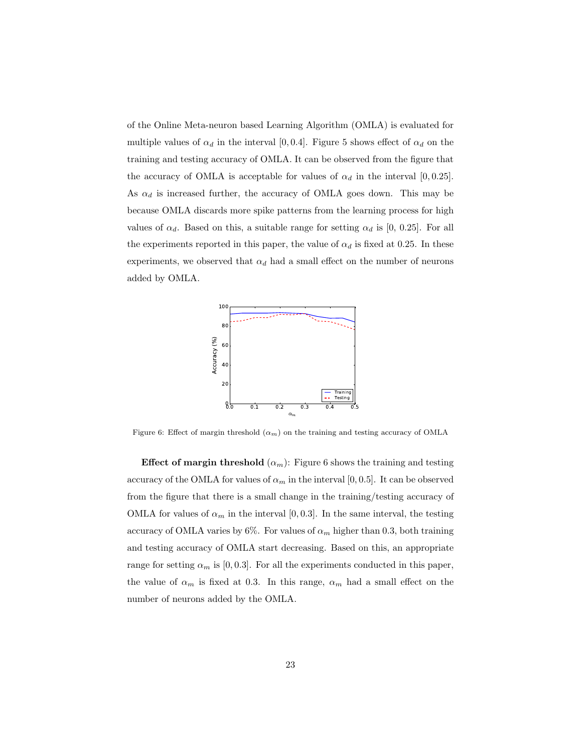of the Online Meta-neuron based Learning Algorithm (OMLA) is evaluated for multiple values of  $\alpha_d$  in the interval [0,0.4]. Figure 5 shows effect of  $\alpha_d$  on the training and testing accuracy of OMLA. It can be observed from the figure that the accuracy of OMLA is acceptable for values of  $\alpha_d$  in the interval [0,0.25]. As  $\alpha_d$  is increased further, the accuracy of OMLA goes down. This may be because OMLA discards more spike patterns from the learning process for high values of  $\alpha_d$ . Based on this, a suitable range for setting  $\alpha_d$  is [0, 0.25]. For all the experiments reported in this paper, the value of  $\alpha_d$  is fixed at 0.25. In these experiments, we observed that  $\alpha_d$  had a small effect on the number of neurons added by OMLA.



Figure 6: Effect of margin threshold  $(\alpha_m)$  on the training and testing accuracy of OMLA

**Effect of margin threshold**  $(\alpha_m)$ : Figure 6 shows the training and testing accuracy of the OMLA for values of  $\alpha_m$  in the interval [0,0.5]. It can be observed from the figure that there is a small change in the training/testing accuracy of OMLA for values of  $\alpha_m$  in the interval [0, 0.3]. In the same interval, the testing accuracy of OMLA varies by 6%. For values of  $\alpha_m$  higher than 0.3, both training and testing accuracy of OMLA start decreasing. Based on this, an appropriate range for setting  $\alpha_m$  is [0, 0.3]. For all the experiments conducted in this paper, the value of  $\alpha_m$  is fixed at 0.3. In this range,  $\alpha_m$  had a small effect on the number of neurons added by the OMLA.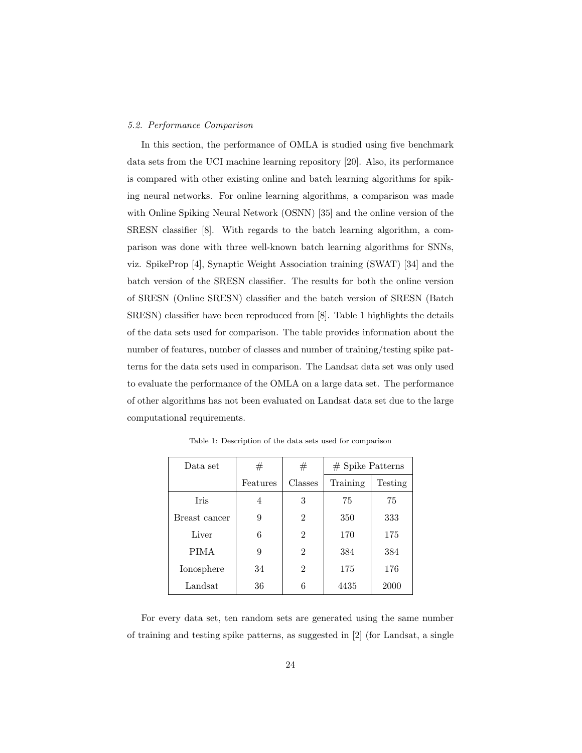### 5.2. Performance Comparison

In this section, the performance of OMLA is studied using five benchmark data sets from the UCI machine learning repository [20]. Also, its performance is compared with other existing online and batch learning algorithms for spiking neural networks. For online learning algorithms, a comparison was made with Online Spiking Neural Network (OSNN) [35] and the online version of the SRESN classifier [8]. With regards to the batch learning algorithm, a comparison was done with three well-known batch learning algorithms for SNNs, viz. SpikeProp [4], Synaptic Weight Association training (SWAT) [34] and the batch version of the SRESN classifier. The results for both the online version of SRESN (Online SRESN) classifier and the batch version of SRESN (Batch SRESN) classifier have been reproduced from [8]. Table 1 highlights the details of the data sets used for comparison. The table provides information about the number of features, number of classes and number of training/testing spike patterns for the data sets used in comparison. The Landsat data set was only used to evaluate the performance of the OMLA on a large data set. The performance of other algorithms has not been evaluated on Landsat data set due to the large computational requirements.

| Data set      | #        | #              | $#$ Spike Patterns |         |
|---------------|----------|----------------|--------------------|---------|
|               | Features | Classes        | Training           | Testing |
| <b>Iris</b>   | 4        | 3              | 75                 | 75      |
| Breast cancer | 9        | $\overline{2}$ | 350                | 333     |
| Liver         | 6        | $\overline{2}$ | 170                | 175     |
| <b>PIMA</b>   | 9        | $\overline{2}$ | 384                | 384     |
| Ionosphere    | 34       | $\overline{2}$ | 175                | 176     |
| Landsat       | 36       | 6              | 4435               | 2000    |

Table 1: Description of the data sets used for comparison

For every data set, ten random sets are generated using the same number of training and testing spike patterns, as suggested in [2] (for Landsat, a single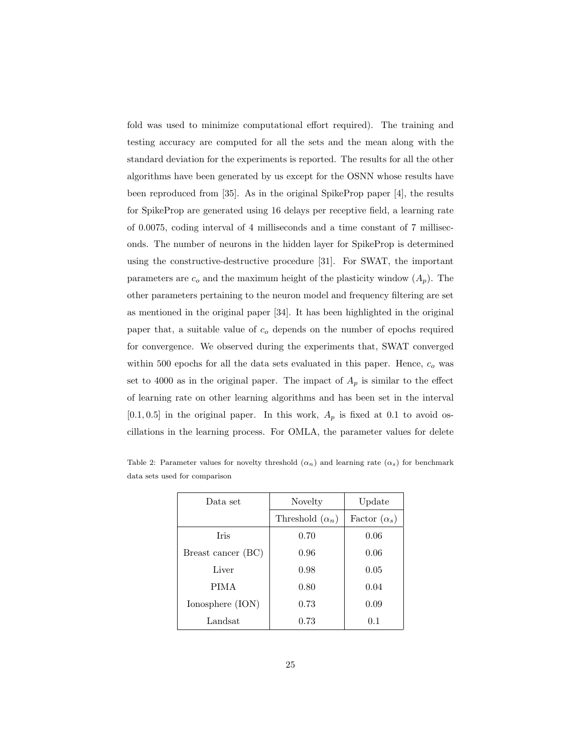fold was used to minimize computational effort required). The training and testing accuracy are computed for all the sets and the mean along with the standard deviation for the experiments is reported. The results for all the other algorithms have been generated by us except for the OSNN whose results have been reproduced from [35]. As in the original SpikeProp paper [4], the results for SpikeProp are generated using 16 delays per receptive field, a learning rate of 0.0075, coding interval of 4 milliseconds and a time constant of 7 milliseconds. The number of neurons in the hidden layer for SpikeProp is determined using the constructive-destructive procedure [31]. For SWAT, the important parameters are  $c_o$  and the maximum height of the plasticity window  $(A_p)$ . The other parameters pertaining to the neuron model and frequency filtering are set as mentioned in the original paper [34]. It has been highlighted in the original paper that, a suitable value of  $c<sub>o</sub>$  depends on the number of epochs required for convergence. We observed during the experiments that, SWAT converged within 500 epochs for all the data sets evaluated in this paper. Hence,  $c<sub>o</sub>$  was set to 4000 as in the original paper. The impact of  $A_p$  is similar to the effect of learning rate on other learning algorithms and has been set in the interval  $[0.1, 0.5]$  in the original paper. In this work,  $A_p$  is fixed at 0.1 to avoid oscillations in the learning process. For OMLA, the parameter values for delete

| Data set           | Novelty                | Update              |  |
|--------------------|------------------------|---------------------|--|
|                    | Threshold $(\alpha_n)$ | Factor $(\alpha_s)$ |  |
| <b>Tris</b>        | 0.70                   | 0.06                |  |
| Breast cancer (BC) | 0.96                   | 0.06                |  |
| Liver              | 0.98                   | 0.05                |  |
| <b>PIMA</b>        | 0.80                   | 0.04                |  |
| Ionosphere (ION)   | 0.73                   | 0.09                |  |
| Landsat            | 0.73                   | 0.1                 |  |

Table 2: Parameter values for novelty threshold  $(\alpha_n)$  and learning rate  $(\alpha_s)$  for benchmark data sets used for comparison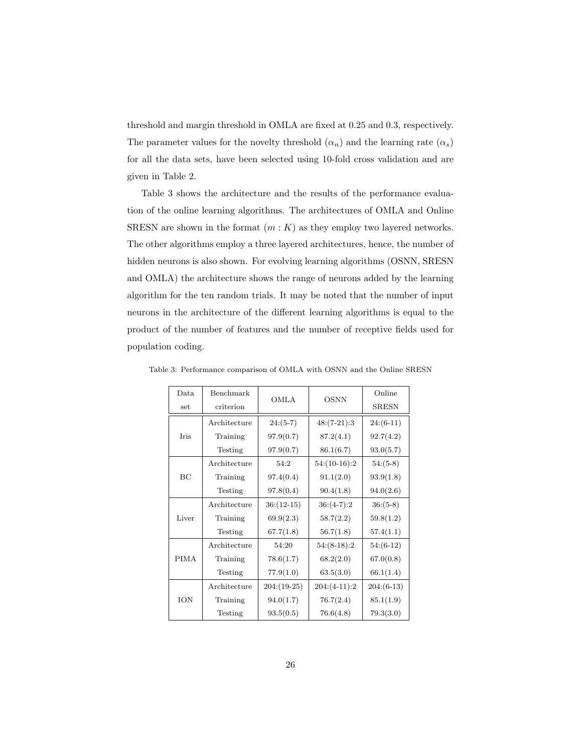threshold and margin threshold in OMLA are fixed at 0.25 and 0.3, respectively. The parameter values for the novelty threshold  $(\alpha_n)$  and the learning rate  $(\alpha_s)$ for all the data sets, have been selected using 10-fold cross validation and are given in Table 2.

Table 3 shows the architecture and the results of the performance evaluation of the online learning algorithms. The architectures of OMLA and Online SRESN are shown in the format  $(m: K)$  as they employ two layered networks. The other algorithms employ a three layered architectures, hence, the number of hidden neurons is also shown. For evolving learning algorithms (OSNN, SRESN and OMLA) the architecture shows the range of neurons added by the learning algorithm for the ten random trials. It may be noted that the number of input neurons in the architecture of the different learning algorithms is equal to the product of the number of features and the number of receptive fields used for population coding.

| Data        | Benchmark    |               |                | Online       |
|-------------|--------------|---------------|----------------|--------------|
| set         | criterion    | <b>OMLA</b>   | <b>OSNN</b>    | <b>SRESN</b> |
| Iris        | Architecture | $24:(5-7)$    | $48:(7-21):3$  | $24:(6-11)$  |
|             | Training     | 97.9(0.7)     | 87.2(4.1)      | 92.7(4.2)    |
|             | Testing      | 97.9(0.7)     | 86.1(6.7)      | 93.0(5.7)    |
| BC          | Architecture | 54:2          | $54:(10-16):2$ | $54:(5-8)$   |
|             | Training     | 97.4(0.4)     | 91.1(2.0)      | 93.9(1.8)    |
|             | Testing      | 97.8(0.4)     | 90.4(1.8)      | 94.0(2.6)    |
| Liver       | Architecture | $36:(12-15)$  | $36:(4-7):2$   | $36:(5-8)$   |
|             | Training     | 69.9(2.3)     | 58.7(2.2)      | 59.8(1.2)    |
|             | Testing      | 67.7(1.8)     | 56.7(1.8)      | 57.4(1.1)    |
| <b>PIMA</b> | Architecture | 54:20         | $54:(8-18):2$  | $54:(6-12)$  |
|             | Training     | 78.6(1.7)     | 68.2(2.0)      | 67.0(0.8)    |
|             | Testing      | 77.9(1.0)     | 63.5(3.0)      | 66.1(1.4)    |
| ION         | Architecture | $204:(19-25)$ | $204:(4-11):2$ | $204:(6-13)$ |
|             | Training     | 94.0(1.7)     | 76.7(2.4)      | 85.1(1.9)    |
|             | Testing      | 93.5(0.5)     | 76.6(4.8)      | 79.3(3.0)    |

Table 3: Performance comparison of OMLA with OSNN and the Online SRESN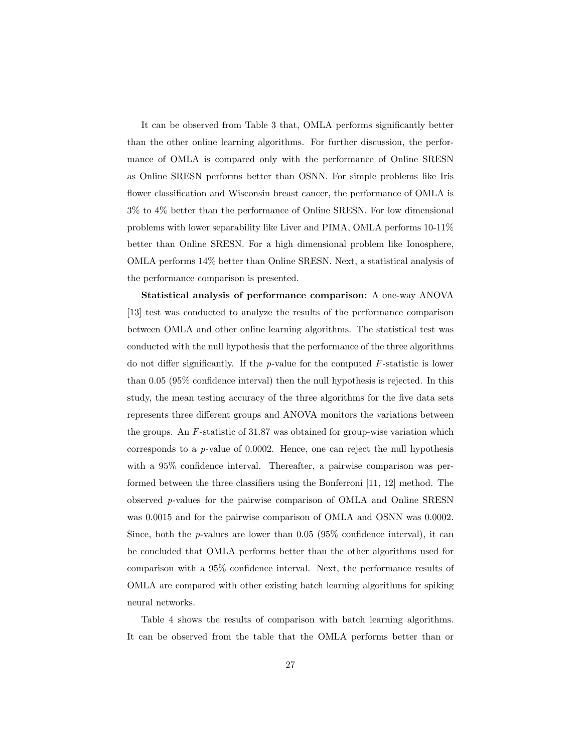It can be observed from Table 3 that, OMLA performs significantly better than the other online learning algorithms. For further discussion, the performance of OMLA is compared only with the performance of Online SRESN as Online SRESN performs better than OSNN. For simple problems like Iris flower classification and Wisconsin breast cancer, the performance of OMLA is 3% to 4% better than the performance of Online SRESN. For low dimensional problems with lower separability like Liver and PIMA, OMLA performs 10-11% better than Online SRESN. For a high dimensional problem like Ionosphere, OMLA performs 14% better than Online SRESN. Next, a statistical analysis of the performance comparison is presented.

Statistical analysis of performance comparison: A one-way ANOVA [13] test was conducted to analyze the results of the performance comparison between OMLA and other online learning algorithms. The statistical test was conducted with the null hypothesis that the performance of the three algorithms do not differ significantly. If the  $p$ -value for the computed  $F$ -statistic is lower than 0.05 (95% confidence interval) then the null hypothesis is rejected. In this study, the mean testing accuracy of the three algorithms for the five data sets represents three different groups and ANOVA monitors the variations between the groups. An F-statistic of 31.87 was obtained for group-wise variation which corresponds to a p-value of 0.0002. Hence, one can reject the null hypothesis with a 95% confidence interval. Thereafter, a pairwise comparison was performed between the three classifiers using the Bonferroni [11, 12] method. The observed p-values for the pairwise comparison of OMLA and Online SRESN was 0.0015 and for the pairwise comparison of OMLA and OSNN was 0.0002. Since, both the  $p$ -values are lower than 0.05 (95% confidence interval), it can be concluded that OMLA performs better than the other algorithms used for comparison with a 95% confidence interval. Next, the performance results of OMLA are compared with other existing batch learning algorithms for spiking neural networks.

Table 4 shows the results of comparison with batch learning algorithms. It can be observed from the table that the OMLA performs better than or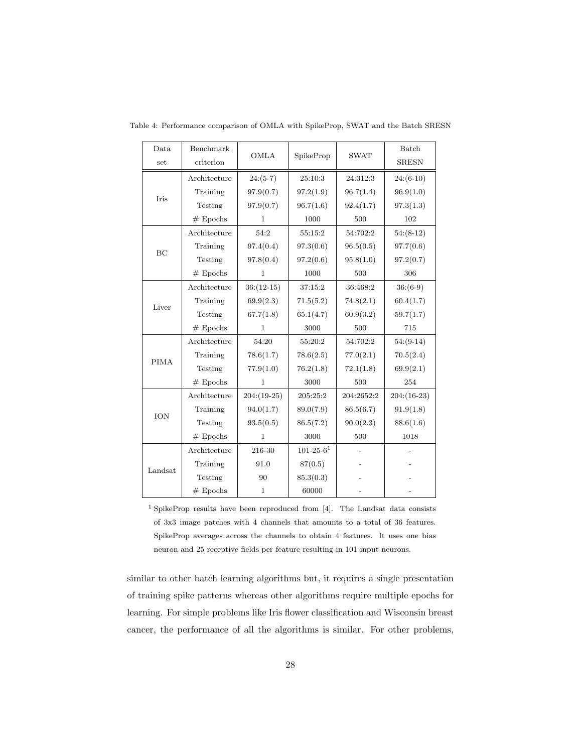| Data        | Benchmark    |               | SpikeProp       | <b>SWAT</b> | Batch         |
|-------------|--------------|---------------|-----------------|-------------|---------------|
| set         | criterion    | <b>OMLA</b>   |                 |             | <b>SRESN</b>  |
| Iris        | Architecture | $24:(5-7)$    | 25:10:3         | 24:312:3    | $24:(6-10)$   |
|             | Training     | 97.9(0.7)     | 97.2(1.9)       | 96.7(1.4)   | 96.9(1.0)     |
|             | Testing      | 97.9(0.7)     | 96.7(1.6)       | 92.4(1.7)   | 97.3(1.3)     |
|             | $#$ Epochs   | $\mathbf{1}$  | 1000            | 500         | 102           |
|             | Architecture | 54:2          | 55:15:2         | 54:702:2    | $54:(8-12)$   |
| BC          | Training     | 97.4(0.4)     | 97.3(0.6)       | 96.5(0.5)   | 97.7(0.6)     |
|             | Testing      | 97.8(0.4)     | 97.2(0.6)       | 95.8(1.0)   | 97.2(0.7)     |
|             | $#$ Epochs   | 1             | 1000            | 500         | 306           |
|             | Architecture | $36:(12-15)$  | 37:15:2         | 36:468:2    | $36:(6-9)$    |
| Liver       | Training     | 69.9(2.3)     | 71.5(5.2)       | 74.8(2.1)   | 60.4(1.7)     |
|             | Testing      | 67.7(1.8)     | 65.1(4.7)       | 60.9(3.2)   | 59.7(1.7)     |
|             | $#$ Epochs   | 1.            | 3000            | 500         | 715           |
|             | Architecture | 54:20         | 55:20:2         | 54:702:2    | $54:(9-14)$   |
| <b>PIMA</b> | Training     | 78.6(1.7)     | 78.6(2.5)       | 77.0(2.1)   | 70.5(2.4)     |
|             | Testing      | 77.9(1.0)     | 76.2(1.8)       | 72.1(1.8)   | 69.9(2.1)     |
|             | $#$ Epochs   | 1             | 3000            | 500         | 254           |
| ION         | Architecture | $204:(19-25)$ | 205:25:2        | 204:2652:2  | $204:(16-23)$ |
|             | Training     | 94.0(1.7)     | 89.0(7.9)       | 86.5(6.7)   | 91.9(1.8)     |
|             | Testing      | 93.5(0.5)     | 86.5(7.2)       | 90.0(2.3)   | 88.6(1.6)     |
|             | $#$ Epochs   | $\mathbf{1}$  | 3000            | $500\,$     | 1018          |
| Landsat     | Architecture | 216-30        | $101 - 25 - 61$ |             |               |
|             | Training     | 91.0          | 87(0.5)         |             |               |
|             | Testing      | 90            | 85.3(0.3)       |             |               |
|             | $#$ Epochs   | 1             | 60000           |             |               |

Table 4: Performance comparison of OMLA with SpikeProp, SWAT and the Batch SRESN

<sup>1</sup> SpikeProp results have been reproduced from [4]. The Landsat data consists of 3x3 image patches with 4 channels that amounts to a total of 36 features. SpikeProp averages across the channels to obtain 4 features. It uses one bias neuron and 25 receptive fields per feature resulting in 101 input neurons.

similar to other batch learning algorithms but, it requires a single presentation of training spike patterns whereas other algorithms require multiple epochs for learning. For simple problems like Iris flower classification and Wisconsin breast cancer, the performance of all the algorithms is similar. For other problems,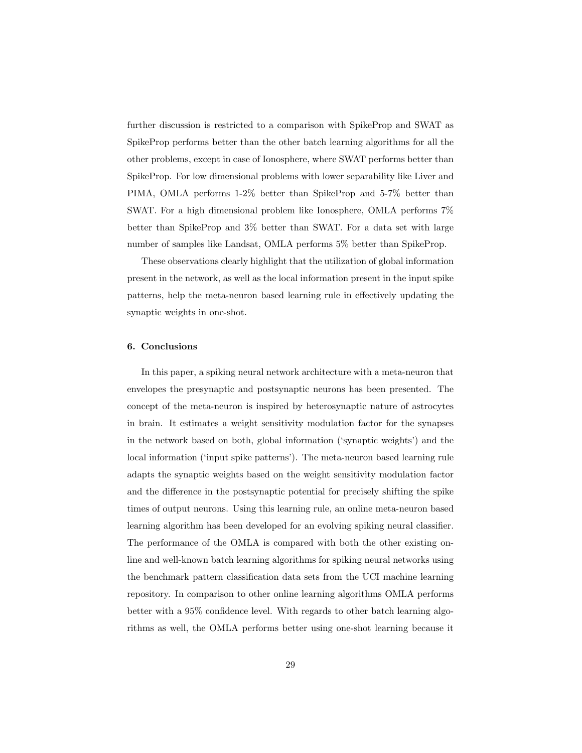further discussion is restricted to a comparison with SpikeProp and SWAT as SpikeProp performs better than the other batch learning algorithms for all the other problems, except in case of Ionosphere, where SWAT performs better than SpikeProp. For low dimensional problems with lower separability like Liver and PIMA, OMLA performs 1-2% better than SpikeProp and 5-7% better than SWAT. For a high dimensional problem like Ionosphere, OMLA performs 7% better than SpikeProp and 3% better than SWAT. For a data set with large number of samples like Landsat, OMLA performs 5% better than SpikeProp.

These observations clearly highlight that the utilization of global information present in the network, as well as the local information present in the input spike patterns, help the meta-neuron based learning rule in effectively updating the synaptic weights in one-shot.

#### 6. Conclusions

In this paper, a spiking neural network architecture with a meta-neuron that envelopes the presynaptic and postsynaptic neurons has been presented. The concept of the meta-neuron is inspired by heterosynaptic nature of astrocytes in brain. It estimates a weight sensitivity modulation factor for the synapses in the network based on both, global information ('synaptic weights') and the local information ('input spike patterns'). The meta-neuron based learning rule adapts the synaptic weights based on the weight sensitivity modulation factor and the difference in the postsynaptic potential for precisely shifting the spike times of output neurons. Using this learning rule, an online meta-neuron based learning algorithm has been developed for an evolving spiking neural classifier. The performance of the OMLA is compared with both the other existing online and well-known batch learning algorithms for spiking neural networks using the benchmark pattern classification data sets from the UCI machine learning repository. In comparison to other online learning algorithms OMLA performs better with a 95% confidence level. With regards to other batch learning algorithms as well, the OMLA performs better using one-shot learning because it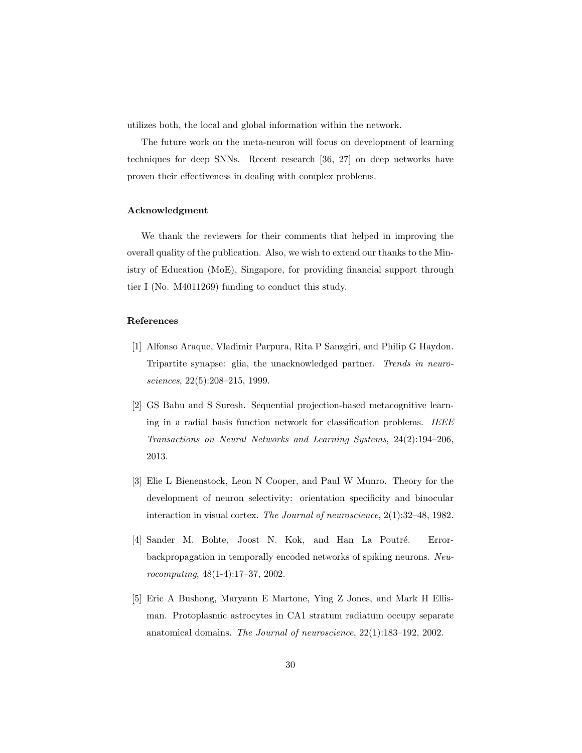utilizes both, the local and global information within the network.

The future work on the meta-neuron will focus on development of learning techniques for deep SNNs. Recent research [36, 27] on deep networks have proven their effectiveness in dealing with complex problems.

## Acknowledgment

We thank the reviewers for their comments that helped in improving the overall quality of the publication. Also, we wish to extend our thanks to the Ministry of Education (MoE), Singapore, for providing financial support through tier I (No. M4011269) funding to conduct this study.

## References

- [1] Alfonso Araque, Vladimir Parpura, Rita P Sanzgiri, and Philip G Haydon. Tripartite synapse: glia, the unacknowledged partner. Trends in neurosciences, 22(5):208–215, 1999.
- [2] GS Babu and S Suresh. Sequential projection-based metacognitive learning in a radial basis function network for classification problems. IEEE Transactions on Neural Networks and Learning Systems, 24(2):194–206, 2013.
- [3] Elie L Bienenstock, Leon N Cooper, and Paul W Munro. Theory for the development of neuron selectivity: orientation specificity and binocular interaction in visual cortex. The Journal of neuroscience, 2(1):32–48, 1982.
- [4] Sander M. Bohte, Joost N. Kok, and Han La Poutré. Errorbackpropagation in temporally encoded networks of spiking neurons. Neurocomputing, 48(1-4):17–37, 2002.
- [5] Eric A Bushong, Maryann E Martone, Ying Z Jones, and Mark H Ellisman. Protoplasmic astrocytes in CA1 stratum radiatum occupy separate anatomical domains. The Journal of neuroscience, 22(1):183–192, 2002.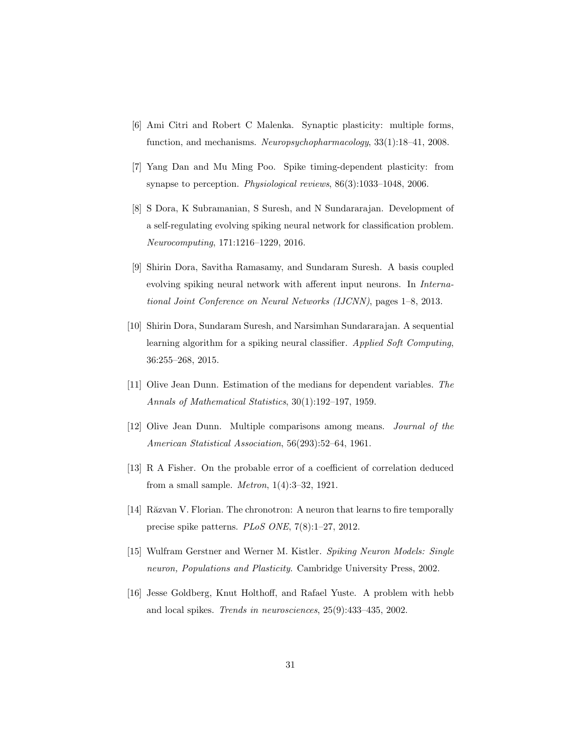- [6] Ami Citri and Robert C Malenka. Synaptic plasticity: multiple forms, function, and mechanisms. Neuropsychopharmacology, 33(1):18–41, 2008.
- [7] Yang Dan and Mu Ming Poo. Spike timing-dependent plasticity: from synapse to perception. Physiological reviews, 86(3):1033–1048, 2006.
- [8] S Dora, K Subramanian, S Suresh, and N Sundararajan. Development of a self-regulating evolving spiking neural network for classification problem. Neurocomputing, 171:1216–1229, 2016.
- [9] Shirin Dora, Savitha Ramasamy, and Sundaram Suresh. A basis coupled evolving spiking neural network with afferent input neurons. In International Joint Conference on Neural Networks (IJCNN), pages 1–8, 2013.
- [10] Shirin Dora, Sundaram Suresh, and Narsimhan Sundararajan. A sequential learning algorithm for a spiking neural classifier. Applied Soft Computing, 36:255–268, 2015.
- [11] Olive Jean Dunn. Estimation of the medians for dependent variables. The Annals of Mathematical Statistics, 30(1):192–197, 1959.
- [12] Olive Jean Dunn. Multiple comparisons among means. Journal of the American Statistical Association, 56(293):52–64, 1961.
- [13] R A Fisher. On the probable error of a coefficient of correlation deduced from a small sample. Metron, 1(4):3–32, 1921.
- [14] Răzvan V. Florian. The chronotron: A neuron that learns to fire temporally precise spike patterns. PLoS ONE, 7(8):1–27, 2012.
- [15] Wulfram Gerstner and Werner M. Kistler. Spiking Neuron Models: Single neuron, Populations and Plasticity. Cambridge University Press, 2002.
- [16] Jesse Goldberg, Knut Holthoff, and Rafael Yuste. A problem with hebb and local spikes. Trends in neurosciences, 25(9):433–435, 2002.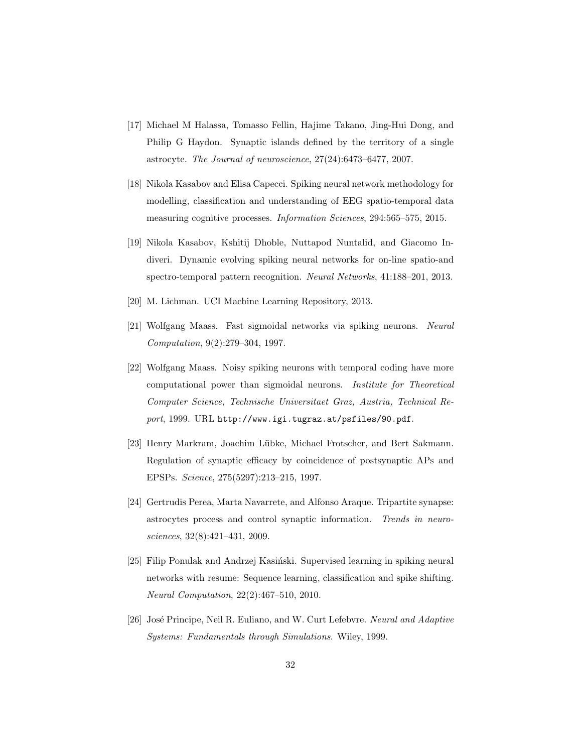- [17] Michael M Halassa, Tomasso Fellin, Hajime Takano, Jing-Hui Dong, and Philip G Haydon. Synaptic islands defined by the territory of a single astrocyte. The Journal of neuroscience, 27(24):6473–6477, 2007.
- [18] Nikola Kasabov and Elisa Capecci. Spiking neural network methodology for modelling, classification and understanding of EEG spatio-temporal data measuring cognitive processes. Information Sciences, 294:565–575, 2015.
- [19] Nikola Kasabov, Kshitij Dhoble, Nuttapod Nuntalid, and Giacomo Indiveri. Dynamic evolving spiking neural networks for on-line spatio-and spectro-temporal pattern recognition. Neural Networks, 41:188–201, 2013.
- [20] M. Lichman. UCI Machine Learning Repository, 2013.
- [21] Wolfgang Maass. Fast sigmoidal networks via spiking neurons. Neural Computation, 9(2):279–304, 1997.
- [22] Wolfgang Maass. Noisy spiking neurons with temporal coding have more computational power than sigmoidal neurons. Institute for Theoretical Computer Science, Technische Universitaet Graz, Austria, Technical Report, 1999. URL http://www.igi.tugraz.at/psfiles/90.pdf.
- [23] Henry Markram, Joachim Lübke, Michael Frotscher, and Bert Sakmann. Regulation of synaptic efficacy by coincidence of postsynaptic APs and EPSPs. Science, 275(5297):213–215, 1997.
- [24] Gertrudis Perea, Marta Navarrete, and Alfonso Araque. Tripartite synapse: astrocytes process and control synaptic information. Trends in neurosciences, 32(8):421–431, 2009.
- [25] Filip Ponulak and Andrzej Kasiński. Supervised learning in spiking neural networks with resume: Sequence learning, classification and spike shifting. Neural Computation, 22(2):467–510, 2010.
- [26] José Principe, Neil R. Euliano, and W. Curt Lefebvre. Neural and Adaptive Systems: Fundamentals through Simulations. Wiley, 1999.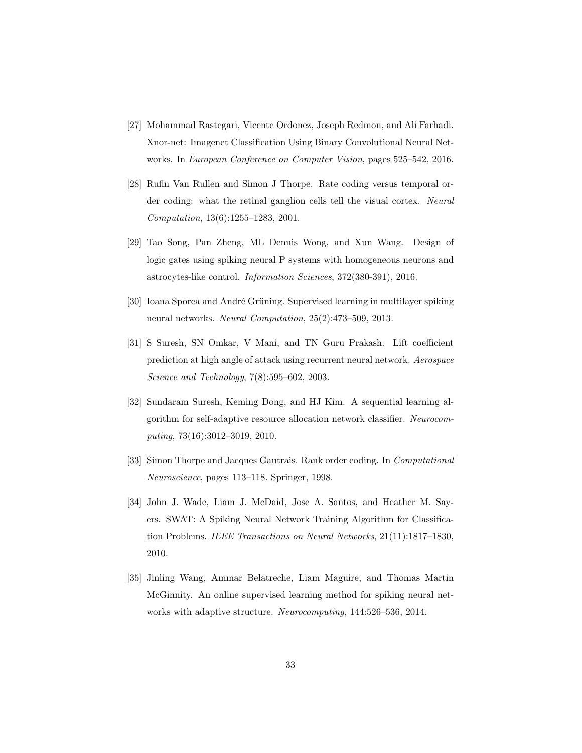- [27] Mohammad Rastegari, Vicente Ordonez, Joseph Redmon, and Ali Farhadi. Xnor-net: Imagenet Classification Using Binary Convolutional Neural Networks. In European Conference on Computer Vision, pages 525–542, 2016.
- [28] Rufin Van Rullen and Simon J Thorpe. Rate coding versus temporal order coding: what the retinal ganglion cells tell the visual cortex. Neural Computation, 13(6):1255–1283, 2001.
- [29] Tao Song, Pan Zheng, ML Dennis Wong, and Xun Wang. Design of logic gates using spiking neural P systems with homogeneous neurons and astrocytes-like control. Information Sciences, 372(380-391), 2016.
- [30] Ioana Sporea and André Grüning. Supervised learning in multilayer spiking neural networks. Neural Computation, 25(2):473–509, 2013.
- [31] S Suresh, SN Omkar, V Mani, and TN Guru Prakash. Lift coefficient prediction at high angle of attack using recurrent neural network. Aerospace Science and Technology, 7(8):595–602, 2003.
- [32] Sundaram Suresh, Keming Dong, and HJ Kim. A sequential learning algorithm for self-adaptive resource allocation network classifier. Neurocomputing, 73(16):3012–3019, 2010.
- [33] Simon Thorpe and Jacques Gautrais. Rank order coding. In Computational Neuroscience, pages 113–118. Springer, 1998.
- [34] John J. Wade, Liam J. McDaid, Jose A. Santos, and Heather M. Sayers. SWAT: A Spiking Neural Network Training Algorithm for Classification Problems. IEEE Transactions on Neural Networks, 21(11):1817–1830, 2010.
- [35] Jinling Wang, Ammar Belatreche, Liam Maguire, and Thomas Martin McGinnity. An online supervised learning method for spiking neural networks with adaptive structure. Neurocomputing, 144:526–536, 2014.